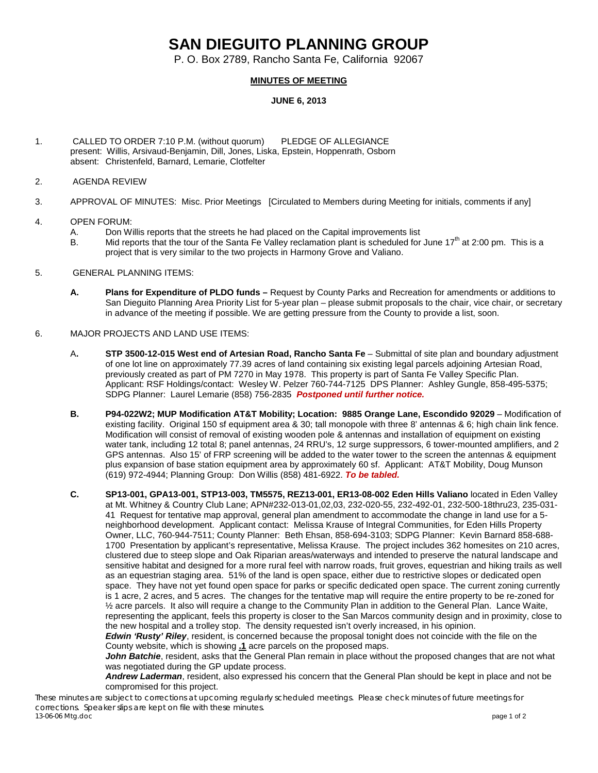# **SAN DIEGUITO PLANNING GROUP**

P. O. Box 2789, Rancho Santa Fe, California 92067

# **MINUTES OF MEETING**

## **JUNE 6, 2013**

- 1. CALLED TO ORDER 7:10 P.M. (without quorum) PLEDGE OF ALLEGIANCE present: Willis, Arsivaud-Benjamin, Dill, Jones, Liska, Epstein, Hoppenrath, Osborn absent: Christenfeld, Barnard, Lemarie, Clotfelter
- 2. AGENDA REVIEW
- 3. APPROVAL OF MINUTES: Misc. Prior Meetings [Circulated to Members during Meeting for initials, comments if any]
- 4. OPEN FORUM:
	- A. Don Willis reports that the streets he had placed on the Capital improvements list<br>B. Mid reports that the tour of the Santa Fe Vallev reclamation plant is scheduled for
	- Mid reports that the tour of the Santa Fe Valley reclamation plant is scheduled for June 17<sup>th</sup> at 2:00 pm. This is a project that is very similar to the two projects in Harmony Grove and Valiano.
- 5. GENERAL PLANNING ITEMS:
	- **A. Plans for Expenditure of PLDO funds –** Request by County Parks and Recreation for amendments or additions to San Dieguito Planning Area Priority List for 5-year plan – please submit proposals to the chair, vice chair, or secretary in advance of the meeting if possible. We are getting pressure from the County to provide a list, soon.
- 6. MAJOR PROJECTS AND LAND USE ITEMS:
	- A**. STP 3500-12-015 West end of Artesian Road, Rancho Santa Fe** Submittal of site plan and boundary adjustment of one lot line on approximately 77.39 acres of land containing six existing legal parcels adjoining Artesian Road, previously created as part of PM 7270 in May 1978. This property is part of Santa Fe Valley Specific Plan. Applicant: RSF Holdings/contact: Wesley W. Pelzer 760-744-7125 DPS Planner: Ashley Gungle, 858-495-5375; SDPG Planner: Laurel Lemarie (858) 756-2835 *Postponed until further notice.*
	- **B. P94-022W2; MUP Modification AT&T Mobility; Location: 9885 Orange Lane, Escondido 92029** Modification of existing facility. Original 150 sf equipment area & 30; tall monopole with three 8' antennas & 6; high chain link fence. Modification will consist of removal of existing wooden pole & antennas and installation of equipment on existing water tank, including 12 total 8; panel antennas, 24 RRU's, 12 surge suppressors, 6 tower-mounted amplifiers, and 2 GPS antennas. Also 15' of FRP screening will be added to the water tower to the screen the antennas & equipment plus expansion of base station equipment area by approximately 60 sf. Applicant: AT&T Mobility, Doug Munson (619) 972-4944; Planning Group: Don Willis (858) 481-6922. *To be tabled.*
	- **C. SP13-001, GPA13-001, STP13-003, TM5575, REZ13-001, ER13-08-002 Eden Hills Valiano** located in Eden Valley at Mt. Whitney & Country Club Lane; APN#232-013-01,02,03, 232-020-55, 232-492-01, 232-500-18thru23, 235-031- 41 Request for tentative map approval, general plan amendment to accommodate the change in land use for a 5 neighborhood development. Applicant contact: Melissa Krause of Integral Communities, for Eden Hills Property Owner, LLC, 760-944-7511; County Planner: Beth Ehsan, 858-694-3103; SDPG Planner: Kevin Barnard 858-688- 1700 Presentation by applicant's representative, Melissa Krause. The project includes 362 homesites on 210 acres, clustered due to steep slope and Oak Riparian areas/waterways and intended to preserve the natural landscape and sensitive habitat and designed for a more rural feel with narrow roads, fruit groves, equestrian and hiking trails as well as an equestrian staging area. 51% of the land is open space, either due to restrictive slopes or dedicated open space. They have not yet found open space for parks or specific dedicated open space. The current zoning currently is 1 acre, 2 acres, and 5 acres. The changes for the tentative map will require the entire property to be re-zoned for ½ acre parcels. It also will require a change to the Community Plan in addition to the General Plan. Lance Waite, representing the applicant, feels this property is closer to the San Marcos community design and in proximity, close to the new hospital and a trolley stop. The density requested isn't overly increased, in his opinion. *Edwin 'Rusty' Riley*, resident, is concerned because the proposal tonight does not coincide with the file on the

County website, which is showing **.1** acre parcels on the proposed maps.

*John Batchie*, resident, asks that the General Plan remain in place without the proposed changes that are not what was negotiated during the GP update process.

*Andrew Laderman*, resident, also expressed his concern that the General Plan should be kept in place and not be compromised for this project.

*These minutes are subject to corrections at upcoming regularly scheduled meetings. Please check minutes of future meetings for corrections. Speaker slips are kept on file with these minutes. 13-06-06 Mtg.doc* page 1 of 2